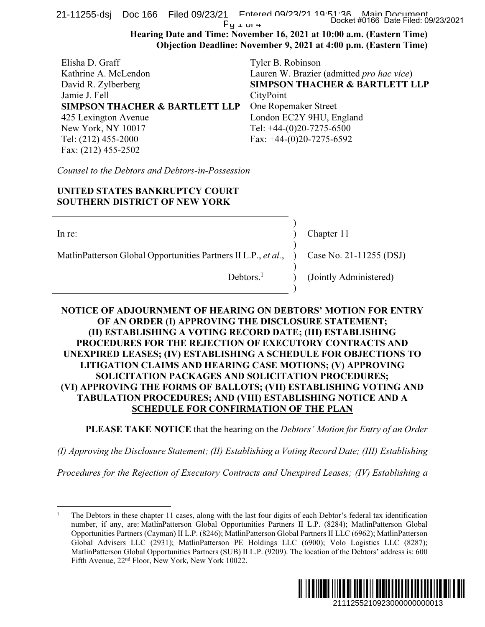21-11255-dsj Doc 166 Filed 09/23/21 Entered 09/23/21 19:51:36 Main Document<br>Docket #0166 Date Filed: 09/23/2021  $Fy \perp yq +$ 

Hearing Date and Time: November 16, 2021 at 10:00 a.m. (Eastern Time) Objection Deadline: November 9, 2021 at 4:00 p.m. (Eastern Time)

| Elisha D. Graff                           | Tyler B. Robinson                         |
|-------------------------------------------|-------------------------------------------|
| Kathrine A. McLendon                      | Lauren W. Brazier (admitted pro hac vice) |
| David R. Zylberberg                       | <b>SIMPSON THACHER &amp; BARTLETT LLP</b> |
| Jamie J. Fell                             | CityPoint                                 |
| <b>SIMPSON THACHER &amp; BARTLETT LLP</b> | One Ropemaker Street                      |
| 425 Lexington Avenue                      | London EC2Y 9HU, England                  |
| New York, NY 10017                        | Tel: $+44-(0)20-7275-6500$                |
| Tel: (212) 455-2000                       | Fax: $+44-(0)20-7275-6592$                |
| Fax: (212) 455-2502                       |                                           |

Counsel to the Debtors and Debtors-in-Possession

# UNITED STATES BANKRUPTCY COURT SOUTHERN DISTRICT OF NEW YORK

| In re:                                                                                           |                       | Chapter 11             |
|--------------------------------------------------------------------------------------------------|-----------------------|------------------------|
| MatlinPatterson Global Opportunities Partners II L.P., <i>et al.</i> , ) Case No. 21-11255 (DSJ) |                       |                        |
|                                                                                                  | Debtors. <sup>1</sup> | (Jointly Administered) |
|                                                                                                  |                       |                        |

# NOTICE OF ADJOURNMENT OF HEARING ON DEBTORS' MOTION FOR ENTRY OF AN ORDER (I) APPROVING THE DISCLOSURE STATEMENT; (II) ESTABLISHING A VOTING RECORD DATE; (III) ESTABLISHING PROCEDURES FOR THE REJECTION OF EXECUTORY CONTRACTS AND UNEXPIRED LEASES; (IV) ESTABLISHING A SCHEDULE FOR OBJECTIONS TO LITIGATION CLAIMS AND HEARING CASE MOTIONS; (V) APPROVING SOLICITATION PACKAGES AND SOLICITATION PROCEDURES; (VI) APPROVING THE FORMS OF BALLOTS; (VII) ESTABLISHING VOTING AND TABULATION PROCEDURES; AND (VIII) ESTABLISHING NOTICE AND A SCHEDULE FOR CONFIRMATION OF THE PLAN Docket #0166 Date Filed: 09/23/2021<br>
2010 a.m. (Eastern Time)<br>
2010 a.m. (Eastern Time)<br>
2010 p.m. (Eastern Time)<br>
dmitted *pro hac vice*)<br>
ER & BARTLETT LLP<br>
et<br>
England<br>
6500<br>
6592<br>
2023/2021<br>
2023/2023<br>
2023/2023<br>
2023/

PLEASE TAKE NOTICE that the hearing on the Debtors' Motion for Entry of an Order

(I) Approving the Disclosure Statement; (II) Establishing a Voting Record Date; (III) Establishing

Procedures for the Rejection of Executory Contracts and Unexpired Leases; (IV) Establishing a

 $\overline{a}$ 1 The Debtors in these chapter 11 cases, along with the last four digits of each Debtor's federal tax identification number, if any, are: MatlinPatterson Global Opportunities Partners II L.P. (8284); MatlinPatterson Global Opportunities Partners (Cayman) II L.P. (8246); MatlinPatterson Global Partners II LLC (6962); MatlinPatterson Global Advisers LLC (2931); MatlinPatterson PE Holdings LLC (6900); Volo Logistics LLC (8287); MatlinPatterson Global Opportunities Partners (SUB) II L.P. (9209). The location of the Debtors' address is: 600 Fifth Avenue, 22nd Floor, New York, New York 10022.

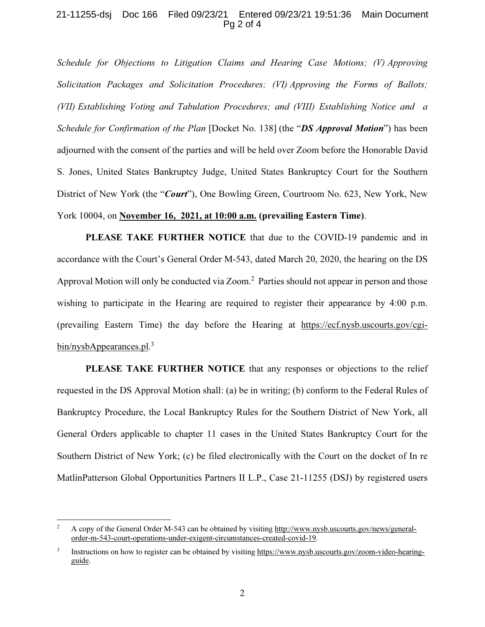### 21-11255-dsj Doc 166 Filed 09/23/21 Entered 09/23/21 19:51:36 Main Document Pg 2 of 4

Schedule for Objections to Litigation Claims and Hearing Case Motions; (V) Approving Solicitation Packages and Solicitation Procedures; (VI) Approving the Forms of Ballots; (VII) Establishing Voting and Tabulation Procedures; and (VIII) Establishing Notice and a Schedule for Confirmation of the Plan [Docket No. 138] (the "DS Approval Motion") has been adjourned with the consent of the parties and will be held over Zoom before the Honorable David S. Jones, United States Bankruptcy Judge, United States Bankruptcy Court for the Southern District of New York (the "*Court*"), One Bowling Green, Courtroom No. 623, New York, New York 10004, on November 16, 2021, at 10:00 a.m. (prevailing Eastern Time).

PLEASE TAKE FURTHER NOTICE that due to the COVID-19 pandemic and in accordance with the Court's General Order M-543, dated March 20, 2020, the hearing on the DS Approval Motion will only be conducted via Zoom.<sup>2</sup> Parties should not appear in person and those wishing to participate in the Hearing are required to register their appearance by 4:00 p.m. (prevailing Eastern Time) the day before the Hearing at https://ecf.nysb.uscourts.gov/cgibin/nysbAppearances.pl.<sup>3</sup>

PLEASE TAKE FURTHER NOTICE that any responses or objections to the relief requested in the DS Approval Motion shall: (a) be in writing; (b) conform to the Federal Rules of Bankruptcy Procedure, the Local Bankruptcy Rules for the Southern District of New York, all General Orders applicable to chapter 11 cases in the United States Bankruptcy Court for the Southern District of New York; (c) be filed electronically with the Court on the docket of In re MatlinPatterson Global Opportunities Partners II L.P., Case 21-11255 (DSJ) by registered users

 $\overline{a}$ 

<sup>2</sup> A copy of the General Order M-543 can be obtained by visiting http://www.nysb.uscourts.gov/news/generalorder-m-543-court-operations-under-exigent-circumstances-created-covid-19.

<sup>3</sup> Instructions on how to register can be obtained by visiting https://www.nysb.uscourts.gov/zoom-video-hearingguide.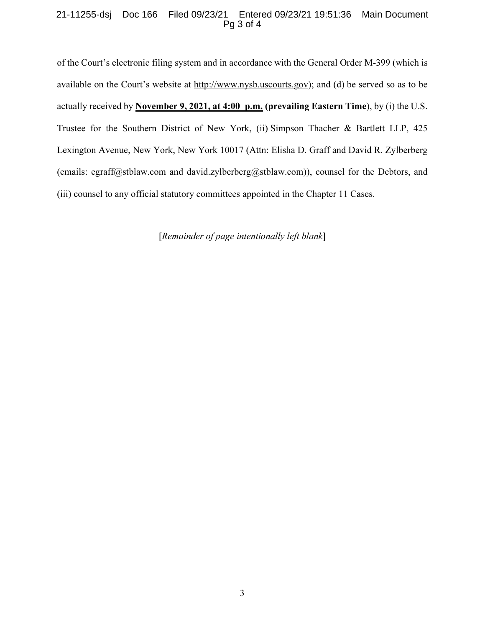## 21-11255-dsj Doc 166 Filed 09/23/21 Entered 09/23/21 19:51:36 Main Document Pg 3 of 4

of the Court's electronic filing system and in accordance with the General Order M-399 (which is available on the Court's website at http://www.nysb.uscourts.gov); and (d) be served so as to be actually received by November 9, 2021, at 4:00  $p.m.$  (prevailing Eastern Time), by (i) the U.S. Trustee for the Southern District of New York, (ii) Simpson Thacher & Bartlett LLP, 425 Lexington Avenue, New York, New York 10017 (Attn: Elisha D. Graff and David R. Zylberberg (emails: egraff@stblaw.com and david.zylberberg@stblaw.com)), counsel for the Debtors, and (iii) counsel to any official statutory committees appointed in the Chapter 11 Cases.

[Remainder of page intentionally left blank]